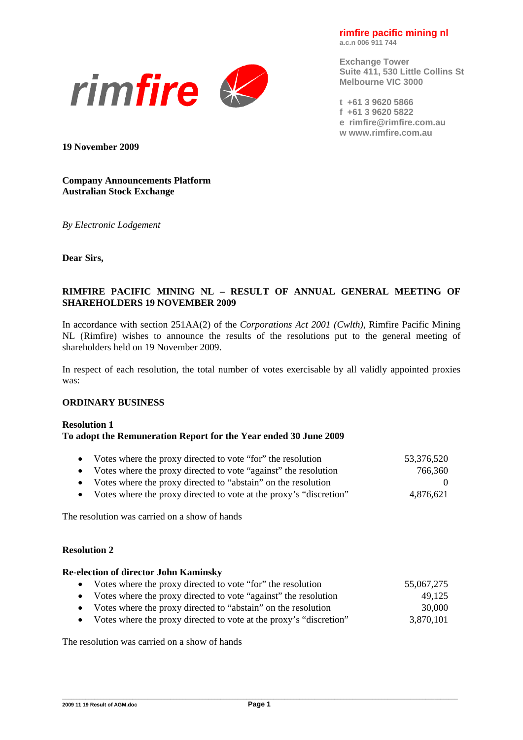**rimfire pacific mining nl a.c.n 006 911 744** 



**Exchange Tower Suite 411, 530 Little Collins St Melbourne VIC 3000** 

**t +61 3 9620 5866 f +61 3 9620 5822 e rimfire@rimfire.com.au w www.rimfire.com.au** 

**19 November 2009** 

### **Company Announcements Platform Australian Stock Exchange**

*By Electronic Lodgement* 

**Dear Sirs,** 

# **RIMFIRE PACIFIC MINING NL – RESULT OF ANNUAL GENERAL MEETING OF SHAREHOLDERS 19 NOVEMBER 2009**

In accordance with section 251AA(2) of the *Corporations Act 2001 (Cwlth)*, Rimfire Pacific Mining NL (Rimfire) wishes to announce the results of the resolutions put to the general meeting of shareholders held on 19 November 2009.

In respect of each resolution, the total number of votes exercisable by all validly appointed proxies was:

#### **ORDINARY BUSINESS**

#### **Resolution 1 To adopt the Remuneration Report for the Year ended 30 June 2009**

|                                                                      | 53,376,520<br>766,360 | • Votes where the proxy directed to vote "for" the resolution<br>• Votes where the proxy directed to vote "against" the resolution |
|----------------------------------------------------------------------|-----------------------|------------------------------------------------------------------------------------------------------------------------------------|
| • Votes where the proxy directed to vote at the proxy's "discretion" | $\Omega$<br>4,876,621 | • Votes where the proxy directed to "abstain" on the resolution                                                                    |

The resolution was carried on a show of hands

#### **Resolution 2**

#### **Re-election of director John Kaminsky**

- Votes where the proxy directed to vote "for" the resolution 55,067,275 • Votes where the proxy directed to vote "against" the resolution 49,125
- Votes where the proxy directed to "abstain" on the resolution 30,000
- Votes where the proxy directed to vote at the proxy's "discretion" 3,870,101

The resolution was carried on a show of hands